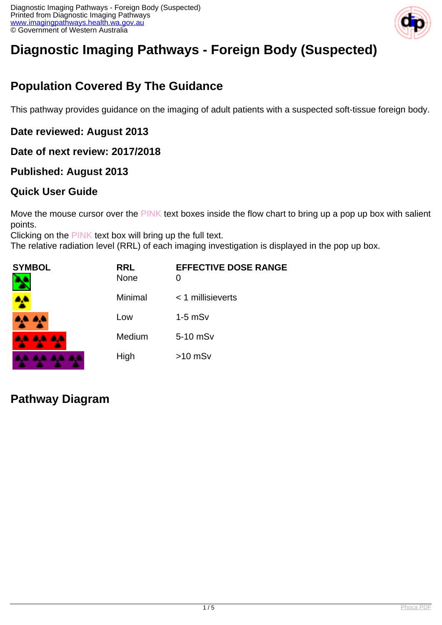

# **Diagnostic Imaging Pathways - Foreign Body (Suspected)**

## **Population Covered By The Guidance**

This pathway provides guidance on the imaging of adult patients with a suspected soft-tissue foreign body.

### **Date reviewed: August 2013**

### **Date of next review: 2017/2018**

### **Published: August 2013**

### **Quick User Guide**

Move the mouse cursor over the PINK text boxes inside the flow chart to bring up a pop up box with salient points.

Clicking on the PINK text box will bring up the full text.

The relative radiation level (RRL) of each imaging investigation is displayed in the pop up box.

| <b>SYMBOL</b><br>٦ | <b>RRL</b><br><b>None</b> | <b>EFFECTIVE DOSE RANGE</b><br>0 |
|--------------------|---------------------------|----------------------------------|
|                    | Minimal                   | $<$ 1 millisieverts              |
| A.A. 4,4           | Low                       | $1-5$ mS $v$                     |
| <b>AA AA AA</b>    | Medium                    | 5-10 mSv                         |
| .                  | High                      | $>10$ mSv                        |

### **Pathway Diagram**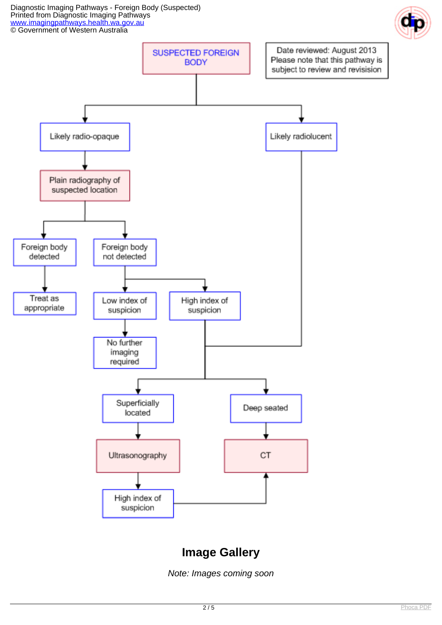Diagnostic Imaging Pathways - Foreign Body (Suspected) Printed from Diagnostic Imaging Pathways [www.imagingpathways.health.wa.gov.au](http://www.imagingpathways.health.wa.gov.au/) **CO** Government of Western Australia





### **Image Gallery**

Note: Images coming soon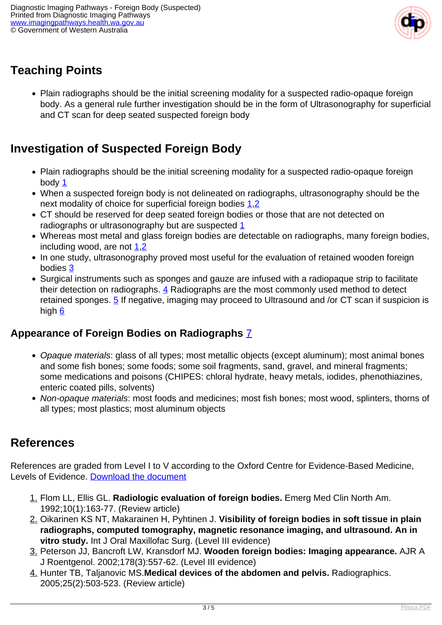

## **Teaching Points**

• Plain radiographs should be the initial screening modality for a suspected radio-opaque foreign body. As a general rule further investigation should be in the form of Ultrasonography for superficial and CT scan for deep seated suspected foreign body

## **Investigation of Suspected Foreign Body**

- Plain radiographs should be the initial screening modality for a suspected radio-opaque foreign body  $1$
- When a suspected foreign body is not delineated on radiographs, ultrasonography should be the next modality of choice for superficial foreign bodies [1,](index.php?option=com_content&view=article&id=127&tab=references#1)[2](index.php?option=com_content&view=article&id=127&tab=references#2)
- CT should be reserved for deep seated foreign bodies or those that are not detected on radiographs or ultrasonography but are suspected [1](index.php?option=com_content&view=article&id=127&tab=references#1)
- Whereas most metal and glass foreign bodies are detectable on radiographs, many foreign bodies, including wood, are not  $1,2$  $1,2$
- In one study, ultrasonography proved most useful for the evaluation of retained wooden foreign bodies [3](index.php?option=com_content&view=article&id=127&tab=references#3)
- Surgical instruments such as sponges and gauze are infused with a radiopaque strip to facilitate their detection on radiographs. [4](index.php?option=com_content&view=article&id=127&tab=references#4) Radiographs are the most commonly used method to detect retained sponges.  $\frac{5}{2}$  If negative, imaging may proceed to Ultrasound and /or CT scan if suspicion is high [6](index.php?option=com_content&view=article&id=127&tab=references#6)

### **Appearance of Foreign Bodies on Radiographs** [7](index.php?option=com_content&view=article&id=127&tab=references#7)

- Opaque materials: glass of all types; most metallic objects (except aluminum); most animal bones and some fish bones; some foods; some soil fragments, sand, gravel, and mineral fragments; some medications and poisons (CHIPES: chloral hydrate, heavy metals, iodides, phenothiazines, enteric coated pills, solvents)
- Non-opaque materials: most foods and medicines; most fish bones; most wood, splinters, thorns of all types; most plastics; most aluminum objects

### **References**

References are graded from Level I to V according to the Oxford Centre for Evidence-Based Medicine, Levels of Evidence. [Download the document](http://www.cebm.net/wp-content/uploads/2014/06/CEBM-Levels-of-Evidence-2.1.pdf)

- 1. Flom LL, Ellis GL. **Radiologic evaluation of foreign bodies.** Emerg Med Clin North Am. 1992;10(1):163-77. (Review article)
- 2. Oikarinen KS NT, Makarainen H, Pyhtinen J. **Visibility of foreign bodies in soft tissue in plain radiographs, computed tomography, magnetic resonance imaging, and ultrasound. An in vitro study.** Int J Oral Maxillofac Surg. (Level III evidence)
- 3. Peterson JJ, Bancroft LW, Kransdorf MJ. **Wooden foreign bodies: Imaging appearance.** AJR A J Roentgenol. 2002;178(3):557-62. (Level III evidence)
- 4. Hunter TB, Taljanovic MS.**Medical devices of the abdomen and pelvis.** Radiographics. 2005;25(2):503-523. (Review article)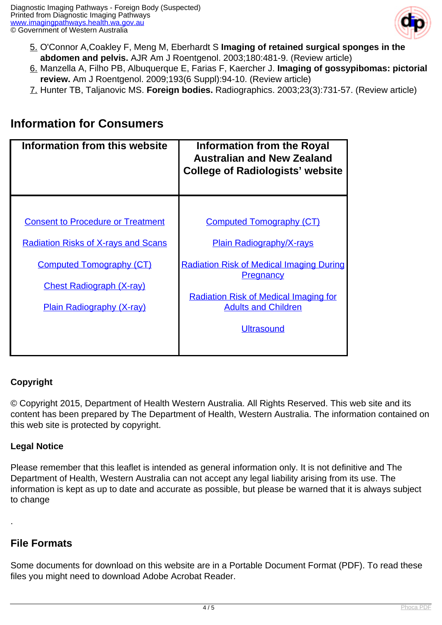

- 5. O'Connor A,Coakley F, Meng M, Eberhardt S **Imaging of retained surgical sponges in the abdomen and pelvis.** AJR Am J Roentgenol. 2003;180:481-9. (Review article)
- 6. Manzella A, Filho PB, Albuquerque E, Farias F, Kaercher J. **Imaging of gossypibomas: pictorial review.** Am J Roentgenol. 2009;193(6 Suppl):94-10. (Review article)
- 7. Hunter TB, Taljanovic MS. **Foreign bodies.** Radiographics. 2003;23(3):731-57. (Review article)

### **Information for Consumers**

| Information from this website              | <b>Information from the Royal</b><br><b>Australian and New Zealand</b><br><b>College of Radiologists' website</b> |
|--------------------------------------------|-------------------------------------------------------------------------------------------------------------------|
|                                            |                                                                                                                   |
| <b>Consent to Procedure or Treatment</b>   | <b>Computed Tomography (CT)</b>                                                                                   |
| <b>Radiation Risks of X-rays and Scans</b> | <b>Plain Radiography/X-rays</b>                                                                                   |
| <b>Computed Tomography (CT)</b>            | <b>Radiation Risk of Medical Imaging During</b><br><b>Pregnancy</b>                                               |
| <b>Chest Radiograph (X-ray)</b>            |                                                                                                                   |
| <b>Plain Radiography (X-ray)</b>           | <b>Radiation Risk of Medical Imaging for</b><br><b>Adults and Children</b>                                        |
|                                            | <b>Ultrasound</b>                                                                                                 |
|                                            |                                                                                                                   |

#### **Copyright**

© Copyright 2015, Department of Health Western Australia. All Rights Reserved. This web site and its content has been prepared by The Department of Health, Western Australia. The information contained on this web site is protected by copyright.

#### **Legal Notice**

Please remember that this leaflet is intended as general information only. It is not definitive and The Department of Health, Western Australia can not accept any legal liability arising from its use. The information is kept as up to date and accurate as possible, but please be warned that it is always subject to change

#### **File Formats**

.

Some documents for download on this website are in a Portable Document Format (PDF). To read these files you might need to download Adobe Acrobat Reader.